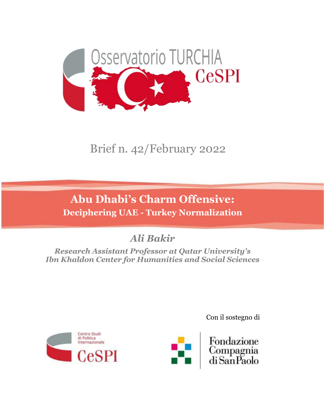

# Brief n. 42/February 2022

## **Abu Dhabi's Charm Offensive: Deciphering UAE - Turkey Normalization**

## *Ali Bakir*

*Research Assistant Professor at Qatar University's Ibn Khaldon Center for Humanities and Social Sciences*





Fondazione Compagnia<br>di San Paolo

Con il sostegno di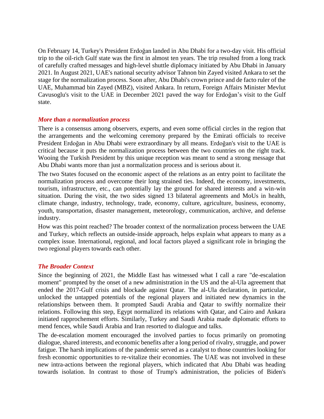On February 14, Turkey's President Erdoğan landed in Abu Dhabi for a two-day visit. His official trip to the oil-rich Gulf state was the first in almost ten years. The trip resulted from a long track of carefully crafted messages and high-level shuttle diplomacy initiated by Abu Dhabi in January 2021. In August 2021, UAE's national security advisor Tahnon bin Zayed visited Ankara to set the stage for the normalization process. Soon after, Abu Dhabi's crown prince and de facto ruler of the UAE, Muhammad bin Zayed (MBZ), visited Ankara. In return, Foreign Affairs Minister Mevlut Cavusoglu's visit to the UAE in December 2021 paved the way for Erdoğan's visit to the Gulf state.

#### *More than a normalization process*

There is a consensus among observers, experts, and even some official circles in the region that the arrangements and the welcoming ceremony prepared by the Emirati officials to receive President Erdoğan in Abu Dhabi were extraordinary by all means. Erdoğan's visit to the UAE is critical because it puts the normalization process between the two countries on the right track. Wooing the Turkish President by this unique reception was meant to send a strong message that Abu Dhabi wants more than just a normalization process and is serious about it.

The two States focused on the economic aspect of the relations as an entry point to facilitate the normalization process and overcome their long strained ties. Indeed, the economy, investments, tourism, infrastructure, etc., can potentially lay the ground for shared interests and a win-win situation. During the visit, the two sides signed 13 bilateral agreements and MoUs in health, climate change, industry, technology, trade, economy, culture, agriculture, business, economy, youth, transportation, disaster management, meteorology, communication, archive, and defense industry.

How was this point reached? The broader context of the normalization process between the UAE and Turkey, which reflects an outside-inside approach, helps explain what appears to many as a complex issue. International, regional, and local factors played a significant role in bringing the two regional players towards each other.

#### *The Broader Context*

Since the beginning of 2021, the Middle East has witnessed what I call a rare "de-escalation moment" prompted by the onset of a new administration in the US and the al-Ula agreement that ended the 2017-Gulf crisis and blockade against Qatar. The al-Ula declaration, in particular, unlocked the untapped potentials of the regional players and initiated new dynamics in the relationships between them. It prompted Saudi Arabia and Qatar to swiftly normalize their relations. Following this step, Egypt normalized its relations with Qatar, and Cairo and Ankara initiated rapprochement efforts. Similarly, Turkey and Saudi Arabia made diplomatic efforts to mend fences, while Saudi Arabia and Iran resorted to dialogue and talks.

The de-escalation moment encouraged the involved parties to focus primarily on promoting dialogue, shared interests, and economic benefits after a long period of rivalry, struggle, and power fatigue. The harsh implications of the pandemic served as a catalyst to those countries looking for fresh economic opportunities to re-vitalize their economies. The UAE was not involved in these new intra-actions between the regional players, which indicated that Abu Dhabi was heading towards isolation. In contrast to those of Trump's administration, the policies of Biden's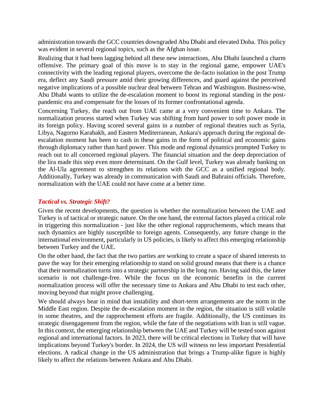administration towards the GCC countries downgraded Abu Dhabi and elevated Doha. This policy was evident in several regional topics, such as the Afghan issue.

Realizing that it had been lagging behind all these new interactions, Abu Dhabi launched a charm offensive. The primary goal of this move is to stay in the regional game, empower UAE's connectivity with the leading regional players, overcome the de-facto isolation in the post Trump era, deflect any Saudi pressure amid their growing differences, and guard against the perceived negative implications of a possible nuclear deal between Tehran and Washington. Business-wise, Abu Dhabi wants to utilize the de-escalation moment to boost its regional standing in the postpandemic era and compensate for the losses of its former confrontational agenda.

Concerning Turkey, the reach out from UAE came at a very convenient time to Ankara. The normalization process started when Turkey was shifting from hard power to soft power mode in its foreign policy. Having scored several gains in a number of regional theatres such as Syria, Libya, Nagorno Karabakh, and Eastern Mediterranean, Ankara's approach during the regional deescalation moment has been to cash in these gains in the form of political and economic gains through diplomacy rather than hard power. This mode and regional dynamics prompted Turkey to reach out to all concerned regional players. The financial situation and the deep depreciation of the lira made this step even more determinant. On the Gulf level, Turkey was already banking on the Al-Ula agreement to strengthen its relations with the GCC as a unified regional body. Additionally, Turkey was already in communication with Saudi and Bahraini officials. Therefore, normalization with the UAE could not have come at a better time.

### *Tactical vs. Strategic Shift?*

Given the recent developments, the question is whether the normalization between the UAE and Turkey is of tactical or strategic nature. On the one hand, the external factors played a critical role in triggering this normalization - just like the other regional rapprochements, which means that such dynamics are highly susceptible to foreign agents. Consequently, any future change in the international environment, particularly in US policies, is likely to affect this emerging relationship between Turkey and the UAE.

On the other hand, the fact that the two parties are working to create a space of shared interests to pave the way for their emerging relationship to stand on solid ground means that there is a chance that their normalization turns into a strategic partnership in the long run. Having said this, the latter scenario is not challenge-free. While the focus on the economic benefits in the current normalization process will offer the necessary time to Ankara and Abu Dhabi to test each other, moving beyond that might prove challenging.

We should always bear in mind that instability and short-term arrangements are the norm in the Middle East region. Despite the de-escalation moment in the region, the situation is still volatile in some theatres, and the rapprochement efforts are fragile. Additionally, the US continues its strategic disengagement from the region, while the fate of the negotiations with Iran is still vague. In this context, the emerging relationship between the UAE and Turkey will be tested soon against regional and international factors. In 2023, there will be critical elections in Turkey that will have implications beyond Turkey's border. In 2024, the US will witness no less important Presidential elections. A radical change in the US administration that brings a Trump-alike figure is highly likely to affect the relations between Ankara and Abu Dhabi.